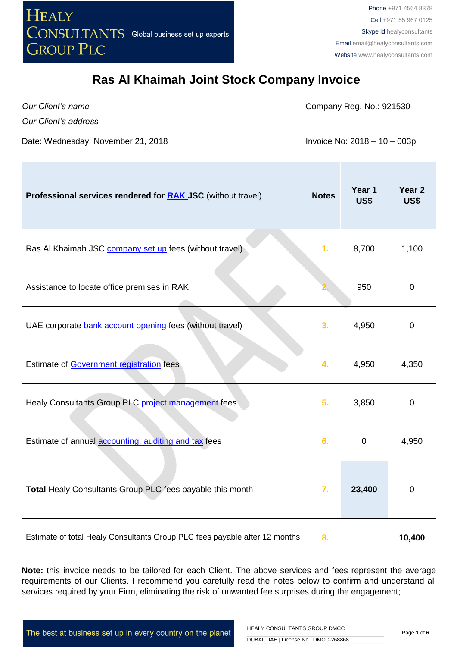

*Our Client's name*

Company Reg. No.: 921530

*Our Client's address*

Date: Wednesday, November 21, 2018 **Invoice No: 2018 – 10 – 003p** 

| Professional services rendered for <b>RAK JSC</b> (without travel)         | <b>Notes</b> | Year 1<br>US\$ | Year <sub>2</sub><br>US\$ |
|----------------------------------------------------------------------------|--------------|----------------|---------------------------|
| Ras AI Khaimah JSC company set up fees (without travel)                    | 1.           | 8,700          | 1,100                     |
| Assistance to locate office premises in RAK                                |              | 950            | $\mathbf 0$               |
| UAE corporate bank account opening fees (without travel)                   | 3.           | 4,950          | $\mathbf 0$               |
| Estimate of Government registration fees                                   | 4.           | 4,950          | 4,350                     |
| Healy Consultants Group PLC project management fees                        | 5.           | 3,850          | $\mathbf 0$               |
| Estimate of annual accounting, auditing and tax fees                       | 6.           | $\mathbf 0$    | 4,950                     |
| Total Healy Consultants Group PLC fees payable this month                  | 7.           | 23,400         | $\mathbf 0$               |
| Estimate of total Healy Consultants Group PLC fees payable after 12 months | 8.           |                | 10,400                    |

**Note:** this invoice needs to be tailored for each Client. The above services and fees represent the average requirements of our Clients. I recommend you carefully read the notes below to confirm and understand all services required by your Firm, eliminating the risk of unwanted fee surprises during the engagement;

The best at business set up in every country on the planet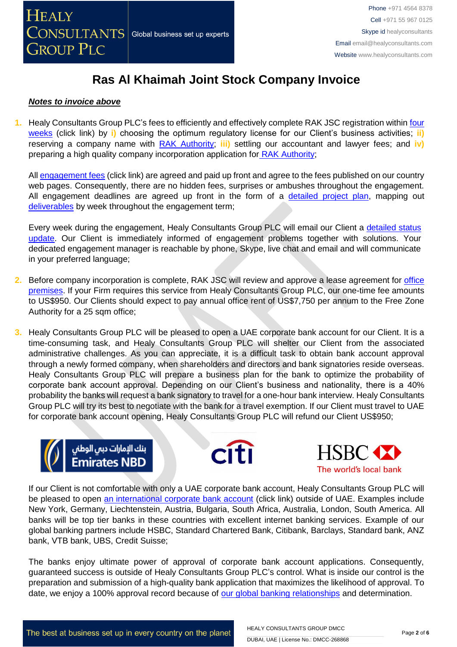

#### *Notes to invoice above*

**1.** Healy Consultants Group PLC's fees to efficiently and effectively complete RAK JSC registration within [four](http://www.healyconsultants.com/ras-al-khaimah-free-zone/fees-timelines/#timelines)  [weeks](http://www.healyconsultants.com/ras-al-khaimah-free-zone/fees-timelines/#timelines) (click link) by **i)** choosing the optimum regulatory license for our Client's business activities; **ii)** reserving a company name with [RAK Authority;](http://www.rakia.ae/) **iii)** settling our accountant and lawyer fees; and **iv)** preparing a high quality company incorporation application for [RAK Authority;](http://www.rakia.ae/)

All [engagement fees](http://www.healyconsultants.com/company-registration-fees/) (click link) are agreed and paid up front and agree to the fees published on our country web pages. Consequently, there are no hidden fees, surprises or ambushes throughout the engagement. All engagement deadlines are agreed up front in the form of a [detailed project plan,](http://www.healyconsultants.com/index-important-links/example-project-plan/) mapping out [deliverables](http://www.healyconsultants.com/deliverables-to-our-clients/) by week throughout the engagement term;

Every week during the engagement, Healy Consultants Group PLC will email our Client a detailed status [update.](http://www.healyconsultants.com/index-important-links/weekly-engagement-status-email/) Our Client is immediately informed of engagement problems together with solutions. Your dedicated engagement manager is reachable by phone, Skype, live chat and email and will communicate in your preferred language;

- **2.** Before company incorporation is complete, RAK JSC will review and approve a lease agreement for [office](http://www.rakia.ae/Company-Formation/Facilities)  [premises.](http://www.rakia.ae/Company-Formation/Facilities) If your Firm requires this service from Healy Consultants Group PLC, our one-time fee amounts to US\$950. Our Clients should expect to pay annual office rent of US\$7,750 per annum to the Free Zone Authority for a 25 sqm office;
- **3.** Healy Consultants Group PLC will be pleased to open a UAE corporate bank account for our Client. It is a time-consuming task, and Healy Consultants Group PLC will shelter our Client from the associated administrative challenges. As you can appreciate, it is a difficult task to obtain bank account approval through a newly formed company, when shareholders and directors and bank signatories reside overseas. Healy Consultants Group PLC will prepare a business plan for the bank to optimize the probability of corporate bank account approval. Depending on our Client's business and nationality, there is a 40% probability the banks will request a bank signatory to travel for a one-hour bank interview. Healy Consultants Group PLC will try its best to negotiate with the bank for a travel exemption. If our Client must travel to UAE for corporate bank account opening, Healy Consultants Group PLC will refund our Client US\$950;







If our Client is not comfortable with only a UAE corporate bank account, Healy Consultants Group PLC will be pleased to open [an international corporate bank account](http://www.healyconsultants.com/international-banking/) (click link) outside of UAE. Examples include New York, Germany, Liechtenstein, Austria, Bulgaria, South Africa, Australia, London, South America. All banks will be top tier banks in these countries with excellent internet banking services. Example of our global banking partners include HSBC, Standard Chartered Bank, Citibank, Barclays, Standard bank, ANZ bank, VTB bank, UBS, Credit Suisse;

The banks enjoy ultimate power of approval of corporate bank account applications. Consequently, guaranteed success is outside of Healy Consultants Group PLC's control. What is inside our control is the preparation and submission of a high-quality bank application that maximizes the likelihood of approval. To date, we enjoy a 100% approval record because of [our global banking relationships](http://www.healyconsultants.com/international-banking/corporate-accounts/) and determination.

The best at business set up in every country on the planet

HEALY CONSULTANTS GROUP DMCC DUBAI, UAE | License No.: DMCC-268868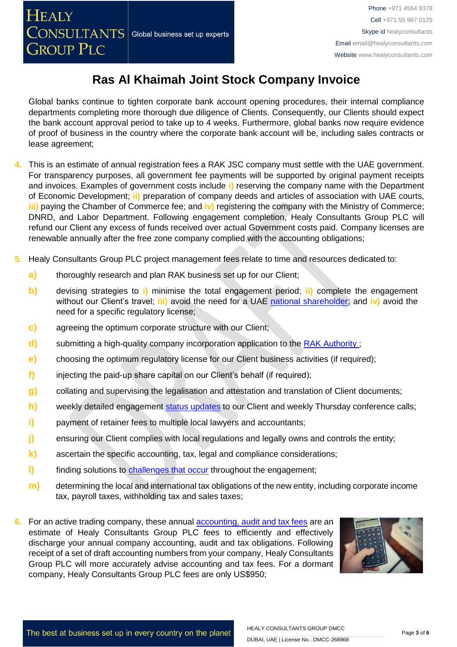Global banks continue to tighten corporate bank account opening procedures, their internal compliance departments completing more thorough due diligence of Clients. Consequently, our Clients should expect the bank account approval period to take up to 4 weeks. Furthermore, global banks now require evidence of proof of business in the country where the corporate bank account will be, including sales contracts or lease agreement;

- **4.** This is an estimate of annual registration fees a RAK JSC company must settle with the UAE government. For transparency purposes, all government fee payments will be supported by original payment receipts and invoices. Examples of government costs include **i)** reserving the company name with the Department of Economic Development; **ii)** preparation of company deeds and articles of association with UAE courts, **iii)** paying the Chamber of Commerce fee; and **iv**) registering the company with the Ministry of Commerce; DNRD, and Labor Department. Following engagement completion, Healy Consultants Group PLC will refund our Client any excess of funds received over actual Government costs paid. Company licenses are renewable annually after the free zone company complied with the accounting obligations;
- **5.** Healy Consultants Group PLC project management fees relate to time and resources dedicated to:
	- **a)** thoroughly research and plan RAK business set up for our Client;
	- **b)** devising strategies to **i)** minimise the total engagement period; **ii)** complete the engagement without our Client's travel; **iii)** avoid the need for a UAE [national](http://www.healyconsultants.com/corporate-advisory-services/nominee-shareholders-directors/national-shareholder-services/) [shareholder;](http://www.healyconsultants.com/corporate-advisory-services/nominee-shareholders-directors/national-shareholder-services/) and **iv)** avoid the need for a specific regulatory license;
	- **c)** agreeing the optimum corporate structure with our Client;
	- **d)** submitting a high-quality company incorporation application to the RAK Authority;
	- **e)** choosing the optimum regulatory license for our Client business activities (if required);
	- **f)** injecting the paid-up share capital on our Client's behalf (if required);
	- **g)** collating and supervising the legalisation and attestation and translation of Client documents;
	- **h)** weekly detailed engagement [status updates](http://www.healyconsultants.com/index-important-links/weekly-engagement-status-email/) to our Client and weekly Thursday conference calls;
	- **i)** payment of retainer fees to multiple local lawyers and accountants;
	- **j)** ensuring our Client complies with local regulations and legally owns and controls the entity;
	- **k)** ascertain the specific accounting, tax, legal and compliance considerations;
	- **l)** finding solutions to [challenges that occur](http://www.healyconsultants.com/engagement-project-management/) throughout the engagement;
	- **m)** determining the local and international tax obligations of the new entity, including corporate income tax, payroll taxes, withholding tax and sales taxes;
- **6.** For an active trading company, these annual [accounting, audit and tax](http://www.healyconsultants.com/uae-company-registration/accounting-legal/) fees are an estimate of Healy Consultants Group PLC fees to efficiently and effectively discharge your annual company accounting, audit and tax obligations. Following receipt of a set of draft accounting numbers from your company, Healy Consultants Group PLC will more accurately advise accounting and tax fees. For a dormant company, Healy Consultants Group PLC fees are only US\$950;

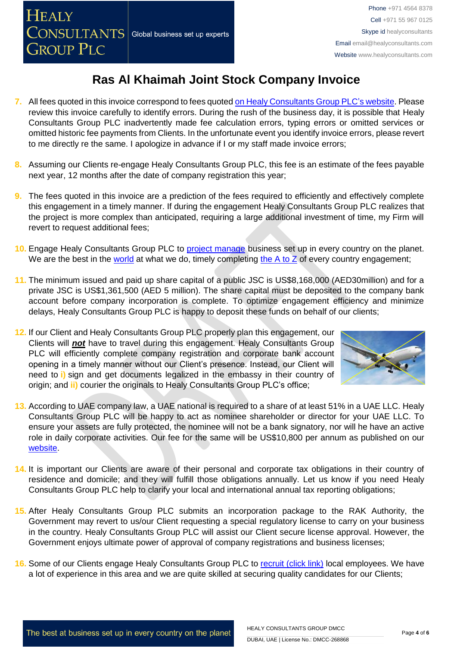- **7.** All fees quoted in this invoice correspond to fees quoted [on Healy Consultants Group PLC's](http://www.healyconsultants.com/company-registration-fees/) website. Please review this invoice carefully to identify errors. During the rush of the business day, it is possible that Healy Consultants Group PLC inadvertently made fee calculation errors, typing errors or omitted services or omitted historic fee payments from Clients. In the unfortunate event you identify invoice errors, please revert to me directly re the same. I apologize in advance if I or my staff made invoice errors;
- **8.** Assuming our Clients re-engage Healy Consultants Group PLC, this fee is an estimate of the fees payable next year, 12 months after the date of company registration this year;
- **9.** The fees quoted in this invoice are a prediction of the fees required to efficiently and effectively complete this engagement in a timely manner. If during the engagement Healy Consultants Group PLC realizes that the project is more complex than anticipated, requiring a large additional investment of time, my Firm will revert to request additional fees;
- **10.** Engage Healy Consultants Group PLC to [project manage](http://www.healyconsultants.com/project-manage-engagements/) business set up in every country on the planet. We are the best in the [world](http://www.healyconsultants.com/best-in-the-world/) at what we do, timely completing the A to  $Z$  of every country engagement;
- **11.** The minimum issued and paid up share capital of a public JSC is US\$8,168,000 (AED30million) and for a private JSC is US\$1,361,500 (AED 5 million). The share capital must be deposited to the company bank account before company incorporation is complete. To optimize engagement efficiency and minimize delays, Healy Consultants Group PLC is happy to deposit these funds on behalf of our clients;
- **12.** If our Client and Healy Consultants Group PLC properly plan this engagement, our Clients will *not* have to travel during this engagement. Healy Consultants Group PLC will efficiently complete company registration and corporate bank account opening in a timely manner without our Client's presence. Instead, our Client will need to **i)** sign and get documents legalized in the embassy in their country of origin; and **ii)** courier the originals to Healy Consultants Group PLC's office;



- **13.** According to UAE company law, a UAE national is required to a share of at least 51% in a UAE LLC. Healy Consultants Group PLC will be happy to act as nominee shareholder or director for your UAE LLC. To ensure your assets are fully protected, the nominee will not be a bank signatory, nor will he have an active role in daily corporate activities. Our fee for the same will be US\$10,800 per annum as published on our [website.](http://www.healyconsultants.com/ras-al-khaimah-free-zone/)
- **14.** It is important our Clients are aware of their personal and corporate tax obligations in their country of residence and domicile; and they will fulfill those obligations annually. Let us know if you need Healy Consultants Group PLC help to clarify your local and international annual tax reporting obligations;
- **15.** After Healy Consultants Group PLC submits an incorporation package to the RAK Authority, the Government may revert to us/our Client requesting a special regulatory license to carry on your business in the country. Healy Consultants Group PLC will assist our Client secure license approval. However, the Government enjoys ultimate power of approval of company registrations and business licenses;
- 16. Some of our Clients engage Healy Consultants Group PLC to [recruit \(click link\)](http://www.healyconsultants.com/corporate-outsourcing-services/how-we-help-our-clients-recruit-quality-employees/) local employees. We have a lot of experience in this area and we are quite skilled at securing quality candidates for our Clients;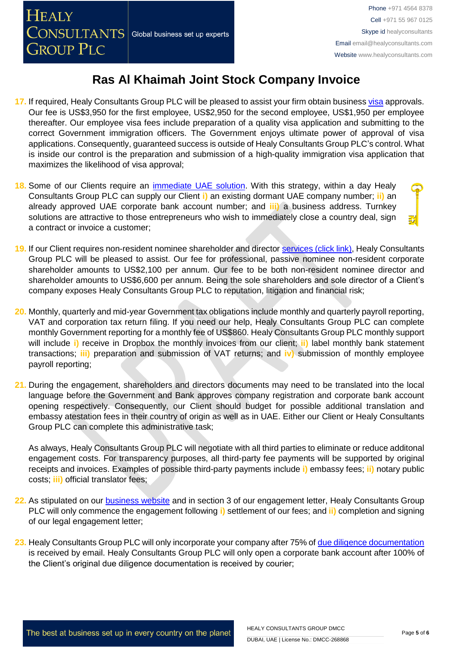- **17.** If required, Healy Consultants Group PLC will be pleased to assist your firm obtain business [visa](http://www.healyconsultants.com/uae-company-registration/employment-visas/) approvals. Our fee is US\$3,950 for the first employee, US\$2,950 for the second employee, US\$1,950 per employee thereafter. Our employee visa fees include preparation of a quality visa application and submitting to the correct Government immigration officers. The Government enjoys ultimate power of approval of visa applications. Consequently, guaranteed success is outside of Healy Consultants Group PLC's control. What is inside our control is the preparation and submission of a high-quality immigration visa application that maximizes the likelihood of visa approval;
- 18. Some of our Clients require an *immediate UAE solution*. With this strategy, within a day Healy Consultants Group PLC can supply our Client **i)** an existing dormant UAE company number; **ii)** an already approved UAE corporate bank account number; and **iii)** a business address. Turnkey solutions are attractive to those entrepreneurs who wish to immediately close a country deal, sign a contract or invoice a customer;
- **19.** If our Client requires non-resident nominee shareholder and director [services \(click link\),](http://www.healyconsultants.com/corporate-outsourcing-services/nominee-shareholders-directors/) Healy Consultants Group PLC will be pleased to assist. Our fee for professional, passive nominee non-resident corporate shareholder amounts to US\$2,100 per annum. Our fee to be both non-resident nominee director and shareholder amounts to US\$6,600 per annum. Being the sole shareholders and sole director of a Client's company exposes Healy Consultants Group PLC to reputation, litigation and financial risk;
- **20.** Monthly, quarterly and mid-year Government tax obligations include monthly and quarterly payroll reporting, VAT and corporation tax return filing. If you need our help, Healy Consultants Group PLC can complete monthly Government reporting for a monthly fee of US\$860. Healy Consultants Group PLC monthly support will include **i)** receive in Dropbox the monthly invoices from our client; **ii)** label monthly bank statement transactions; **iii)** preparation and submission of VAT returns; and **iv)** submission of monthly employee payroll reporting;
- **21.** During the engagement, shareholders and directors documents may need to be translated into the local language before the Government and Bank approves company registration and corporate bank account opening respectively. Consequently, our Client should budget for possible additional translation and embassy atestation fees in their country of origin as well as in UAE. Either our Client or Healy Consultants Group PLC can complete this administrative task;

As always, Healy Consultants Group PLC will negotiate with all third parties to eliminate or reduce additonal engagement costs. For transparency purposes, all third-party fee payments will be supported by original receipts and invoices. Examples of possible third-party payments include **i)** embassy fees; **ii)** notary public costs; **iii)** official translator fees;

- **22.** As stipulated on our [business website](http://www.healyconsultants.com/) and in section 3 of our engagement letter, Healy Consultants Group PLC will only commence the engagement following **i)** settlement of our fees; and **ii)** completion and signing of our legal engagement letter;
- **23.** Healy Consultants Group PLC will only incorporate your company after 75% of [due diligence documentation](http://www.healyconsultants.com/due-diligence/) is received by email. Healy Consultants Group PLC will only open a corporate bank account after 100% of the Client's original due diligence documentation is received by courier;